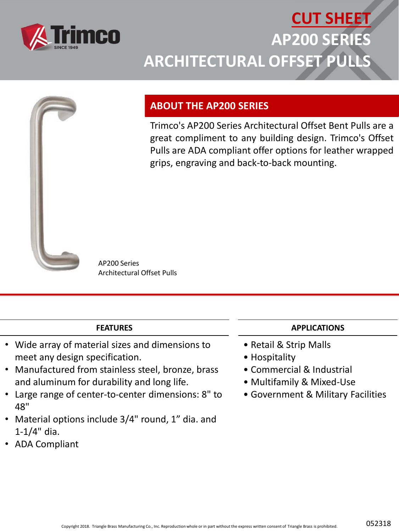

## **CUT SHEET AP200 SERIES ARCHITECTURAL OFFSET PULLS**



### **ABOUT THE AP200 SERIES**

Trimco's AP200 Series Architectural Offset Bent Pulls are a great compliment to any building design. Trimco's Offset Pulls are ADA compliant offer options for leather wrapped grips, engraving and back-to-back mounting.

AP200 Series Architectural Offset Pulls

#### **FEATURES**

- Wide array of material sizes and dimensions to meet any design specification.
- Manufactured from stainless steel, bronze, brass and aluminum for durability and long life.
- Large range of center-to-center dimensions: 8" to 48"
- Material options include 3/4" round, 1" dia. and 1-1/4" dia.
- ADA Compliant

#### **APPLICATIONS**

- Retail & Strip Malls
- Hospitality
- Commercial & Industrial
- Multifamily & Mixed-Use
- Government & Military Facilities